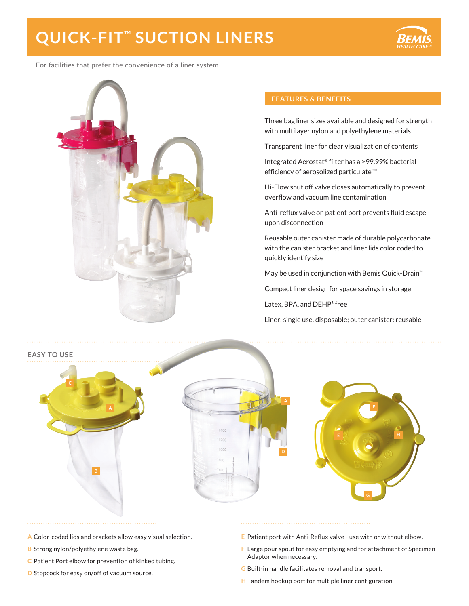# **QUICK-FIT™ SUCTION LINERS**



For facilities that prefer the convenience of a liner system



#### **FEATURES & BENEFITS**

Three bag liner sizes available and designed for strength with multilayer nylon and polyethylene materials

Transparent liner for clear visualization of contents

Integrated Aerostat® filter has a >99.99% bacterial efficiency of aerosolized particulate\*\*

Hi-Flow shut off valve closes automatically to prevent overflow and vacuum line contamination

Anti-reflux valve on patient port prevents fluid escape upon disconnection

Reusable outer canister made of durable polycarbonate with the canister bracket and liner lids color coded to quickly identify size

May be used in conjunction with Bemis Quick-Drain™

Compact liner design for space savings in storage

Latex, BPA, and DEHP<sup>1</sup> free

Liner: single use, disposable; outer canister: reusable



- **A** Color-coded lids and brackets allow easy visual selection.
- **B** Strong nylon/polyethylene waste bag.
- **C** Patient Port elbow for prevention of kinked tubing.
- **D** Stopcock for easy on/off of vacuum source.
- **E** Patient port with Anti-Reflux valve use with or without elbow.
- **F** Large pour spout for easy emptying and for attachment of Specimen Adaptor when necessary.
- **G** Built-in handle facilitates removal and transport.
- **H** Tandem hookup port for multiple liner configuration.